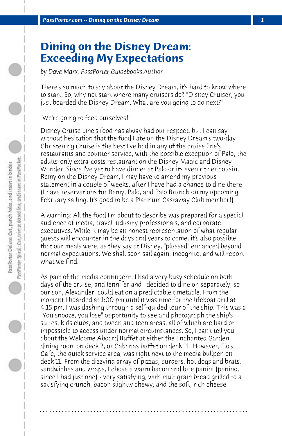## **Dining on the Disney Dream: Exceeding My Expectations**

*by Dave Marx, PassPorter Guidebooks Author*

There's so much to say about the Disney Dream, it's hard to know where to start. So, why not start where many cruisers do? "Disney Cruiser, you just boarded the Disney Dream. What are you going to do next?"

"We're going to feed ourselves!"

Disney Cruise Line's food has alway had our respect, but I can say without hesitation that the food I ate on the Disney Dream's two-day Christening Cruise is the best I've had in any of the cruise line's restaurants and counter service, with the possible exception of Palo, the adults-only extra-costs restaurant on the Disney Magic and Disney Wonder. Since I've yet to have dinner at Palo or its even ritzier cousin, Remy on the Disney Dream, I may have to amend my previous statement in a couple of weeks, after I have had a chance to dine there (I have reservations for Remy, Palo, and Palo Brunch on my upcoming February sailing. It's good to be a Platinum Castaway Club member!)

A warning: All the food I'm about to describe was prepared for a special audience of media, travel industry professionals, and corporate executives. While it may be an honest representation of what regular guests will encounter in the days and years to come, it's also possible that our meals were, as they say at Disney, "plussed" enhanced beyond normal expectations. We shall soon sail again, incognito, and will report what we find.

As part of the media contingent, I had a very busy schedule on both days of the cruise, and Jennifer and I decided to dine on separately, so our son, Alexander, could eat on a predictable timetable. From the moment I boarded at 1:00 pm until it was time for the lifeboat drill at 4:15 pm, I was dashing through a self-guided tour of the ship. This was a "You snooze, you lose" opportunity to see and photograph the ship's suites, kids clubs, and tween and teen areas, all of which are hard or impossible to access under normal circumstances. So, I can't tell you about the Welcome Aboard Buffet at either the Enchanted Garden dining room on deck 2, or Cabanas buffet on deck 11. However, Flo's Cafe, the quick service area, was right next to the media bullpen on deck 11. From the dizzying array of pizzas, burgers, hot dogs and brats, sandwiches and wraps, I chose a warm bacon and brie panini (panino, since I had just one) - very satisfying, with multigrain bread grilled to a satisfying crunch, bacon slightly chewy, and the soft, rich cheese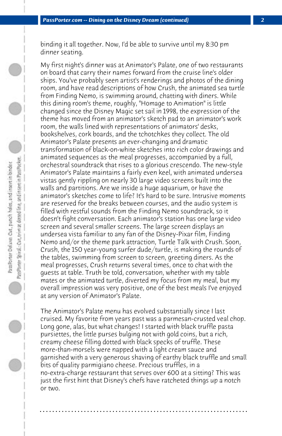binding it all together. Now, I'd be able to survive until my 8:30 pm dinner seating.

My first night's dinner was at Animator's Palate, one of two restaurants on board that carry their names forward from the cruise line's older ships. You've probably seen artist's renderings and photos of the dining room, and have read descriptions of how Crush, the animated sea turtle from Finding Nemo, is swimming around, chatting with diners. While this dining room's theme, roughly, "Homage to Animation" is little changed since the Disney Magic set sail in 1998, the expression of the theme has moved from an animator's sketch pad to an animator's work room, the walls lined with representations of animators' desks, bookshelves, cork boards, and the tchotchkes they collect. The old Animator's Palate presents an ever-changing and dramatic transformation of black-on-white sketches into rich color drawings and animated sequences as the meal progresses, accompanied by a full, orchestral soundtrack that rises to a glorious crescendo. The new-style Animator's Palate maintains a fairly even keel, with animated undersea vistas gently rippling on nearly 30 large video screens built into the walls and partitions. Are we inside a huge aquarium, or have the animator's sketches come to life? It's hard to be sure. Intrusive moments are reserved for the breaks between courses, and the audio system is filled with restful sounds from the Finding Nemo soundtrack, so it doesn't fight conversation. Each animator's station has one large video screen and several smaller screens. The large screen displays an undersea vista familiar to any fan of the Disney-Pixar film, Finding Nemo and/or the theme park attraction, Turtle Talk with Crush. Soon, Crush, the 150 year-young surfer dude/turtle, is making the rounds of the tables, swimming from screen to screen, greeting diners. As the meal progresses, Crush returns several times, once to chat with the guests at table. Truth be told, conversation, whether with my table mates or the animated turtle, diverted my focus from my meal, but my overall impression was very positive, one of the best meals I've enjoyed at any version of Animator's Palate.

The Animator's Palate menu has evolved substantially since I last cruised. My favorite from years past was a parmesan-crusted veal chop. Long gone, alas, but what changes! I started with black truffle pasta pursiettes, the little purses bulging not with gold coins, but a rich, creamy cheese filling dotted with black specks of truffle. These more-than-morsels were napped with a light cream sauce and garnished with a very generous shaving of earthy black truffle and small bits of quality parmigiano cheese. Precious truffles, in a no-extra-charge restaurant that serves over 600 at a sitting? This was just the first hint that Disney's chefs have ratcheted things up a notch or two.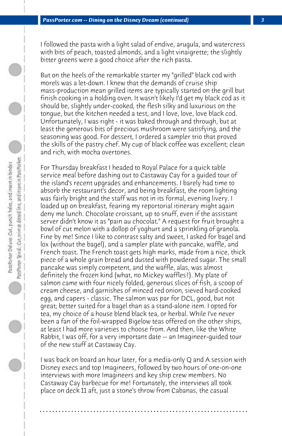I followed the pasta with a light salad of endive, arugula, and watercress with bits of peach, toasted almonds, and a light vinaigrette; the slightly bitter greens were a good choice after the rich pasta.

But on the heels of the remarkable starter my "grilled" black cod with morels was a let-down. I knew that the demands of cruise ship mass-production mean grilled items are typically started on the grill but finish cooking in a holding oven. It wasn't likely I'd get my black cod as it should be, slightly under-cooked, the flesh silky and luxurious on the tongue, but the kitchen needed a test, and I love, love, love black cod. Unfortunately, I was right - it was baked through and through, but at least the generous bits of precious mushroom were satisfying, and the seasoning was good. For dessert, I ordered a sampler trio that proved the skills of the pastry chef. My cup of black coffee was excellent; clean and rich, with mocha overtones.

For Thursday breakfast I headed to Royal Palace for a quick table service meal before dashing out to Castaway Cay for a guided tour of the island's recent upgrades and enhancements. I barely had time to absorb the restaurant's decor, and being breakfast, the room lighting was fairly bright and the staff was not in its formal, evening livery. I loaded up on breakfast, fearing my reportorial itinerary might again deny me lunch. Chocolate croissant, up to snuff, even if the assistant server didn't know it as "pain au chocolat." A request for fruit brought a bowl of cut melon with a dollop of yoghurt and a sprinkling of granola. Fine by me! Since I like to contrast salty and sweet, I asked for bagel and lox (without the bagel), and a sampler plate with pancake, waffle, and French toast. The French toast gets high marks, made from a nice, thick piece of a whole grain bread and dusted with powdered sugar. The small pancake was simply competent, and the waffle, alas, was almost definitely the frozen kind (what, no Mickey waffles?). My plate of salmon came with four nicely folded, generous slices of fish, a scoop of cream cheese, and garnishes of minced red onion, sieved hard-cooked egg, and capers - classic. The salmon was par for DCL, good, but not great; better suited for a bagel than as a stand-alone item. I opted for tea, my choice of a house blend black tea, or herbal. While I've never been a fan of the foil-wrapped Bigelow teas offered on the other ships, at least I had more varieties to choose from. And then, like the White Rabbit, I was off, for a very important date -- an Imagineer-guided tour of the new stuff at Castaway Cay.

I was back on board an hour later, for a media-only Q and A session with Disney execs and top Imagineers, followed by two hours of one-on-one interviews with more Imagineers and key ship crew members. No Castaway Cay barbecue for me! Fortunately, the interviews all took place on deck 11 aft, just a stone's throw from Cabanas, the casual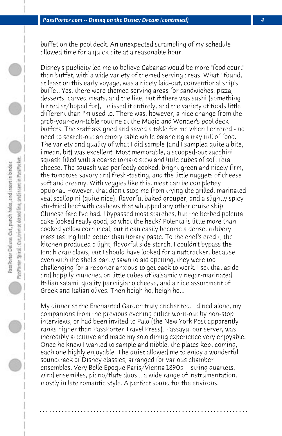buffet on the pool deck. An unexpected scrambling of my schedule allowed time for a quick bite at a reasonable hour.

Disney's publicity led me to believe Cabanas would be more "food court" than buffet, with a wide variety of themed serving areas. What I found, at least on this early voyage, was a nicely laid-out, conventional ship's buffet. Yes, there were themed serving areas for sandwiches, pizza, desserts, carved meats, and the like, but if there was sushi (something hinted at/hoped for), I missed it entirely, and the variety of foods little different than I'm used to. There was, however, a nice change from the grab-your-own-table routine at the Magic and Wonder's pool deck buffets. The staff assigned and saved a table for me when I entered - no need to search-out an empty table while balancing a tray full of food. The variety and quality of what I did sample (and I sampled quite a bite, i mean, bit) was excellent. Most memorable, a scooped-out zucchini squash filled with a coarse tomato stew and little cubes of soft feta cheese. The squash was perfectly cooked, bright green and nicely firm, the tomatoes savory and fresh-tasting, and the little nuggets of cheese soft and creamy. With veggies like this, meat can be completely optional. However, that didn't stop me from trying the grilled, marinated veal scallopini (quite nice), flavorful baked grouper, and a slightly spicy stir-fried beef with cashews that whupped any other cruise ship Chinese fare I've had. I bypassed most starches, but the herbed polenta cake looked really good, so what the heck? Polenta is little more than cooked yellow corn meal, but it can easily become a dense, rubbery mass tasting little better than library paste. To the chef's credit, the kitchen produced a light, flavorful side starch. I couldn't bypass the Jonah crab claws, but I should have looked for a nutcracker, because even with the shells partly sawn to aid opening, they were too challenging for a reporter anxious to get back to work. I set that aside and happily munched on little cubes of balsamic vinegar-marinated Italian salami, quality parmigiano cheese, and a nice assortment of Greek and Italian olives. Then heigh ho, heigh ho...

My dinner at the Enchanted Garden truly enchanted. I dined alone, my companions from the previous evening either worn-out by non-stop interviews, or had been invited to Palo (the New York Post apparently ranks higher than PassPorter Travel Press). Passayu, our server, was incredibly attentive and made my solo dining experience very enjoyable. Once he knew I wanted to sample and nibble, the plates kept coming, each one highly enjoyable. The quiet allowed me to enjoy a wonderful soundtrack of Disney classics, arranged for various chamber ensembles. Very Belle Epoque Paris/Vienna 1890s -- string quartets, wind ensembles, piano/flute duos... a wide range of instrumentation, mostly in late romantic style. A perfect sound for the environs.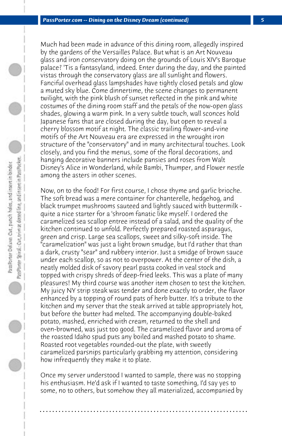Much had been made in advance of this dining room, allegedly inspired by the gardens of the Versailles Palace. But what is an Art Nouveau glass and iron conservatory doing on the grounds of Louis XIV's Baroque palace? 'Tis a fantasyland, indeed. Enter during the day, and the painted vistas through the conservatory glass are all sunlight and flowers. Fanciful overhead glass lampshades have tightly closed petals and glow a muted sky blue. Come dinnertime, the scene changes to permanent twilight, with the pink blush of sunset reflected in the pink and white costumes of the dining room staff and the petals of the now-open glass shades, glowing a warm pink. In a very subtle touch, wall sconces hold Japanese fans that are closed during the day, but open to reveal a cherry blossom motif at night. The classic trailing flower-and-vine motifs of the Art Nouveau era are expressed in the wrought iron structure of the "conservatory" and in many architectural touches. Look closely, and you find the menus, some of the floral decorations, and hanging decorative banners include pansies and roses from Walt Disney's Alice in Wonderland, while Bambi, Thumper, and Flower nestle among the asters in other scenes.

Now, on to the food! For first course, I chose thyme and garlic brioche. The soft bread was a mere container for chanterelle, hedgehog, and black trumpet mushrooms sauteed and lightly sauced with buttermilk quite a nice starter for a 'shroom fanatic like myself. I ordered the caramelized sea scallop entree instead of a salad, and the quality of the kitchen continued to unfold. Perfectly prepared roasted asparagus, green and crisp. Large sea scallops, sweet and silky-soft inside. The "caramelization" was just a light brown smudge, but I'd rather that than a dark, crusty "sear" and rubbery interior. Just a smidge of brown sauce under each scallop, so as not to overpower. At the center of the dish, a neatly molded disk of savory pearl pasta cooked in veal stock and topped with crispy shreds of deep-fried leeks. This was a plate of many pleasures! My third course was another item chosen to test the kitchen. My juicy NY strip steak was tender and done exactly to order, the flavor enhanced by a topping of round pats of herb butter. It's a tribute to the kitchen and my server that the steak arrived at table appropriately hot, but before the butter had melted. The accompanying double-baked potato, mashed, enriched with cream, returned to the shell and oven-browned, was just too good. The caramelized flavor and aroma of the roasted Idaho spud puts any boiled and mashed potato to shame. Roasted root vegetables rounded-out the plate, with sweetly caramelized parsnips particularly grabbing my attention, considering how infrequently they make it to plate.

Once my server understood I wanted to sample, there was no stopping his enthusiasm. He'd ask if I wanted to taste something, I'd say yes to some, no to others, but somehow they all materialized, accompanied by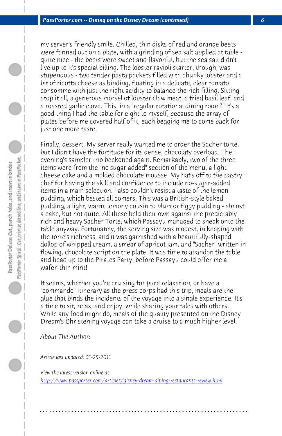*PassPorter.com -- Dining on the Disney Dream (continued) 6*

my server's friendly smile. Chilled, thin disks of red and orange beets were fanned out on a plate, with a grinding of sea salt applied at table quite nice - the beets were sweet and flavorful, but the sea salt didn't live up to it's special billing. The lobster ravioli starter, though, was stupendous - two tender pasta packets filled with chunky lobster and a bit of ricotta cheese as binding, floating in a delicate, clear tomato consomme with just the right acidity to balance the rich filling. Sitting atop it all, a generous morsel of lobster claw meat, a fried basil leaf, and a roasted garlic clove. This, in a "regular rotational dining room?" It's a good thing I had the table for eight to myself, because the array of plates before me covered half of it, each begging me to come back for just one more taste.

Finally, dessert. My server really wanted me to order the Sacher torte, but I didn't have the fortitude for its dense, chocolaty overload. The evening's sampler trio beckoned again. Remarkably, two of the three items were from the "no sugar added" section of the menu, a light cheese cake and a molded chocolate mousse. My hat's off to the pastry chef for having the skill and confidence to include no-sugar-added items in a main selection. I also couldn't resist a taste of the lemon pudding, which bested all comers. This was a British-style baked pudding, a light, warm, lemony cousin to plum or figgy pudding - almost a cake, but not quite. All these held their own against the predictably rich and heavy Sacher Torte, which Passayu managed to sneak onto the table anyway. Fortunately, the serving size was modest, in keeping with the torte's richness, and it was garnished with a beautifully-shaped dollop of whipped cream, a smear of apricot jam, and "Sacher" written in [flowing, chocolate script on the plate. It was time to abandon the](http://www.passporter.com/articles/disney-dream-dining-restaurants-review.php) table and head up to the Pirates Party, before Passayu could offer me a wafer-thin mint!

It seems, whether you're cruising for pure relaxation, or have a "commando" itinerary as the press corps had this trip, meals are the glue that binds the incidents of the voyage into a single experience. It's a time to sit, relax, and enjoy, while sharing your tales with others. While any food might do, meals of the quality presented on the Disney Dream's Christening voyage can take a cruise to a much higher level.

*About The Author:* 

*Article last updated: 01-25-2011*

*View the latest version online at: http://www.passporter.com/articles/disney-dream-dining-restaurants-review.html*